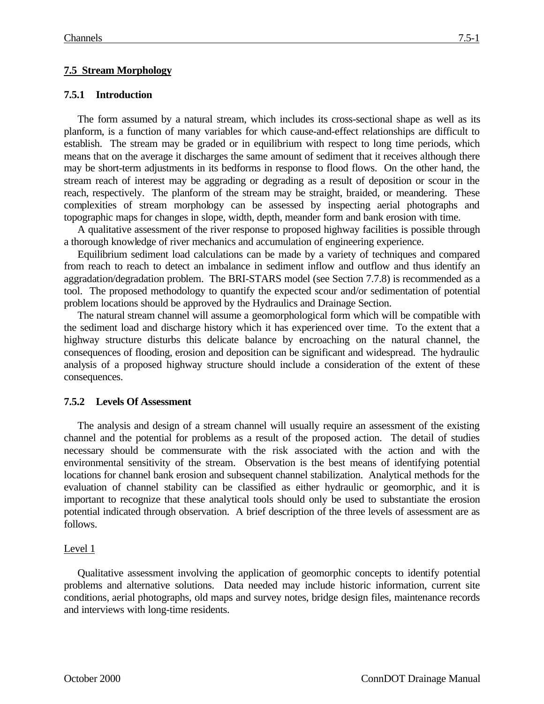# **7.5 Stream Morphology**

### **7.5.1 Introduction**

The form assumed by a natural stream, which includes its cross-sectional shape as well as its planform, is a function of many variables for which cause-and-effect relationships are difficult to establish. The stream may be graded or in equilibrium with respect to long time periods, which means that on the average it discharges the same amount of sediment that it receives although there may be short-term adjustments in its bedforms in response to flood flows. On the other hand, the stream reach of interest may be aggrading or degrading as a result of deposition or scour in the reach, respectively. The planform of the stream may be straight, braided, or meandering. These complexities of stream morphology can be assessed by inspecting aerial photographs and topographic maps for changes in slope, width, depth, meander form and bank erosion with time.

A qualitative assessment of the river response to proposed highway facilities is possible through a thorough knowledge of river mechanics and accumulation of engineering experience.

Equilibrium sediment load calculations can be made by a variety of techniques and compared from reach to reach to detect an imbalance in sediment inflow and outflow and thus identify an aggradation/degradation problem. The BRI-STARS model (see Section 7.7.8) is recommended as a tool. The proposed methodology to quantify the expected scour and/or sedimentation of potential problem locations should be approved by the Hydraulics and Drainage Section.

The natural stream channel will assume a geomorphological form which will be compatible with the sediment load and discharge history which it has experienced over time. To the extent that a highway structure disturbs this delicate balance by encroaching on the natural channel, the consequences of flooding, erosion and deposition can be significant and widespread. The hydraulic analysis of a proposed highway structure should include a consideration of the extent of these consequences.

### **7.5.2 Levels Of Assessment**

The analysis and design of a stream channel will usually require an assessment of the existing channel and the potential for problems as a result of the proposed action. The detail of studies necessary should be commensurate with the risk associated with the action and with the environmental sensitivity of the stream. Observation is the best means of identifying potential locations for channel bank erosion and subsequent channel stabilization. Analytical methods for the evaluation of channel stability can be classified as either hydraulic or geomorphic, and it is important to recognize that these analytical tools should only be used to substantiate the erosion potential indicated through observation. A brief description of the three levels of assessment are as follows.

### Level 1

Qualitative assessment involving the application of geomorphic concepts to identify potential problems and alternative solutions. Data needed may include historic information, current site conditions, aerial photographs, old maps and survey notes, bridge design files, maintenance records and interviews with long-time residents.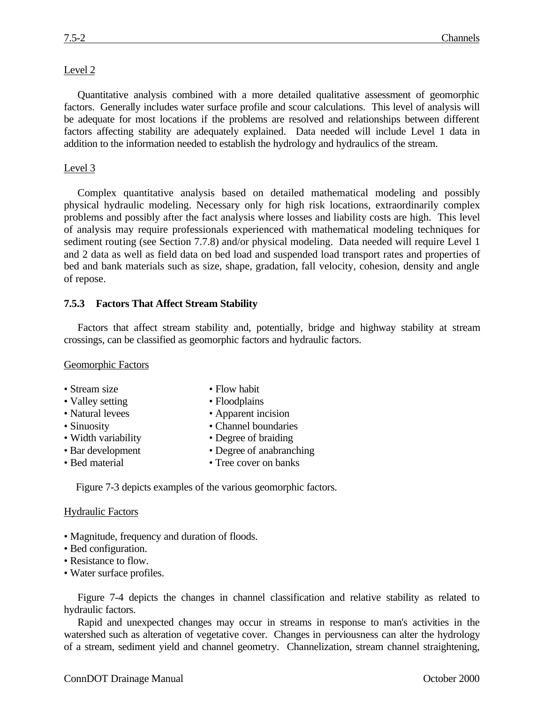Quantitative analysis combined with a more detailed qualitative assessment of geomorphic factors. Generally includes water surface profile and scour calculations. This level of analysis will be adequate for most locations if the problems are resolved and relationships between different factors affecting stability are adequately explained. Data needed will include Level 1 data in addition to the information needed to establish the hydrology and hydraulics of the stream.

### Level 3

Complex quantitative analysis based on detailed mathematical modeling and possibly physical hydraulic modeling. Necessary only for high risk locations, extraordinarily complex problems and possibly after the fact analysis where losses and liability costs are high. This level of analysis may require professionals experienced with mathematical modeling techniques for sediment routing (see Section 7.7.8) and/or physical modeling. Data needed will require Level 1 and 2 data as well as field data on bed load and suspended load transport rates and properties of bed and bank materials such as size, shape, gradation, fall velocity, cohesion, density and angle of repose.

## **7.5.3 Factors That Affect Stream Stability**

Factors that affect stream stability and, potentially, bridge and highway stability at stream crossings, can be classified as geomorphic factors and hydraulic factors.

Geomorphic Factors

- Stream size Flow habit
- Valley setting Floodplains
- Natural levees Apparent incision
- 
- Width variability Degree of braiding
- 
- 
- 
- 
- Sinuosity Channel boundaries
	-
- Bar development Degree of anabranching
- Bed material Tree cover on banks

Figure 7-3 depicts examples of the various geomorphic factors.

### **Hydraulic Factors**

- Magnitude, frequency and duration of floods.
- Bed configuration.
- Resistance to flow.
- Water surface profiles.

Figure 7-4 depicts the changes in channel classification and relative stability as related to hydraulic factors.

Rapid and unexpected changes may occur in streams in response to man's activities in the watershed such as alteration of vegetative cover. Changes in perviousness can alter the hydrology of a stream, sediment yield and channel geometry. Channelization, stream channel straightening,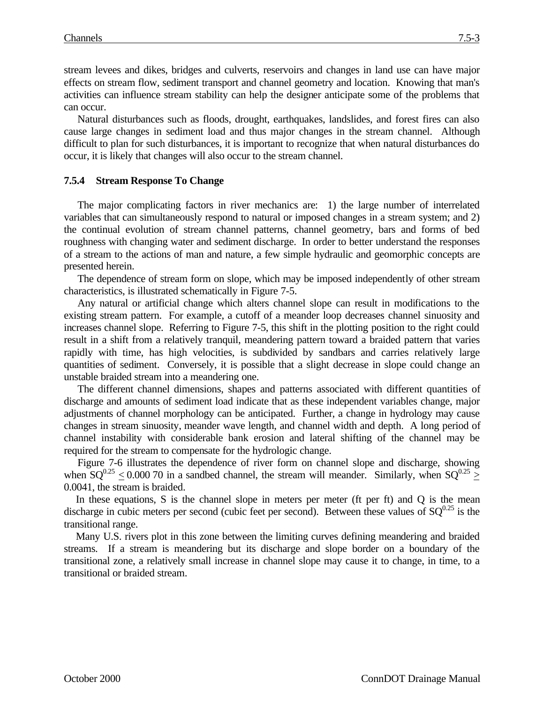stream levees and dikes, bridges and culverts, reservoirs and changes in land use can have major effects on stream flow, sediment transport and channel geometry and location. Knowing that man's activities can influence stream stability can help the designer anticipate some of the problems that can occur.

Natural disturbances such as floods, drought, earthquakes, landslides, and forest fires can also cause large changes in sediment load and thus major changes in the stream channel. Although difficult to plan for such disturbances, it is important to recognize that when natural disturbances do occur, it is likely that changes will also occur to the stream channel.

## **7.5.4 Stream Response To Change**

The major complicating factors in river mechanics are: 1) the large number of interrelated variables that can simultaneously respond to natural or imposed changes in a stream system; and 2) the continual evolution of stream channel patterns, channel geometry, bars and forms of bed roughness with changing water and sediment discharge. In order to better understand the responses of a stream to the actions of man and nature, a few simple hydraulic and geomorphic concepts are presented herein.

The dependence of stream form on slope, which may be imposed independently of other stream characteristics, is illustrated schematically in Figure 7-5.

Any natural or artificial change which alters channel slope can result in modifications to the existing stream pattern. For example, a cutoff of a meander loop decreases channel sinuosity and increases channel slope. Referring to Figure 7-5, this shift in the plotting position to the right could result in a shift from a relatively tranquil, meandering pattern toward a braided pattern that varies rapidly with time, has high velocities, is subdivided by sandbars and carries relatively large quantities of sediment. Conversely, it is possible that a slight decrease in slope could change an unstable braided stream into a meandering one.

The different channel dimensions, shapes and patterns associated with different quantities of discharge and amounts of sediment load indicate that as these independent variables change, major adjustments of channel morphology can be anticipated. Further, a change in hydrology may cause changes in stream sinuosity, meander wave length, and channel width and depth. A long period of channel instability with considerable bank erosion and lateral shifting of the channel may be required for the stream to compensate for the hydrologic change.

Figure 7-6 illustrates the dependence of river form on channel slope and discharge, showing when  $SO^{0.25}$  < 0.000 70 in a sandbed channel, the stream will meander. Similarly, when  $SO^{0.25}$  > 0.0041, the stream is braided.

In these equations, S is the channel slope in meters per meter (ft per ft) and Q is the mean discharge in cubic meters per second (cubic feet per second). Between these values of  $SQ^{0.25}$  is the transitional range.

Many U.S. rivers plot in this zone between the limiting curves defining meandering and braided streams. If a stream is meandering but its discharge and slope border on a boundary of the transitional zone, a relatively small increase in channel slope may cause it to change, in time, to a transitional or braided stream.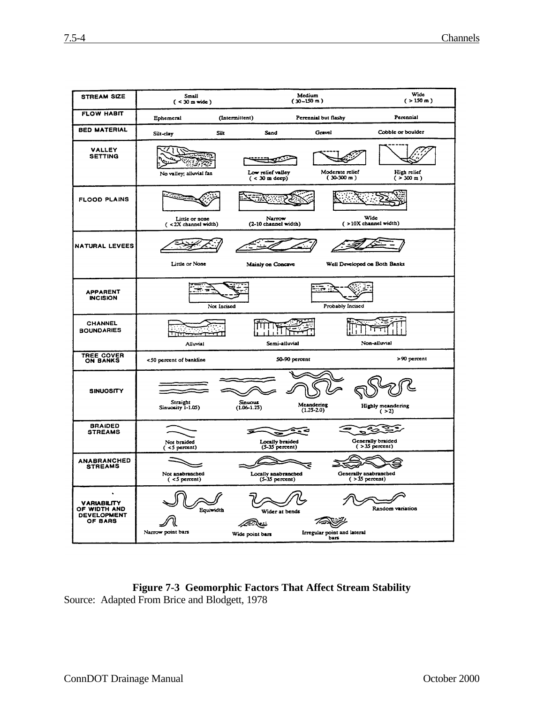بالتك المتك

Wide point bars

Wider at bends

75SP

Irregular point and lateral

Equividth

৶

Narrow point bars

ll

**VARIABILITY** OF WIDTH AND<br>DEVELOPMENT

OF BARS

Random variation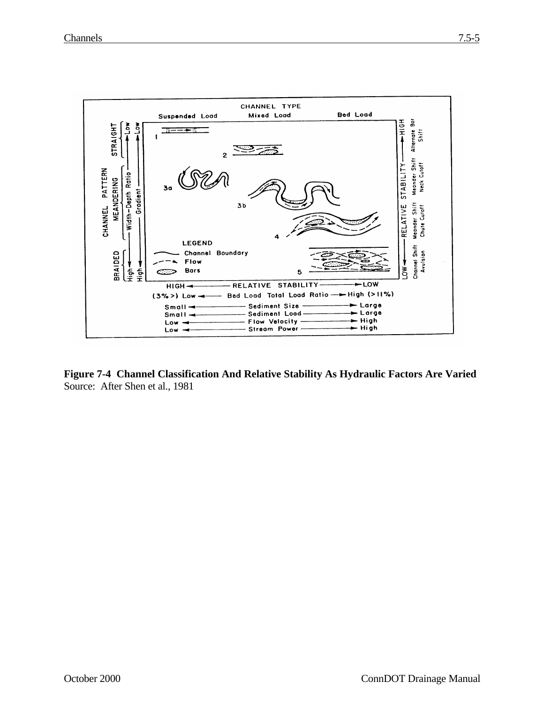

**Figure 7-4 Channel Classification And Relative Stability As Hydraulic Factors Are Varied** Source: After Shen et al., 1981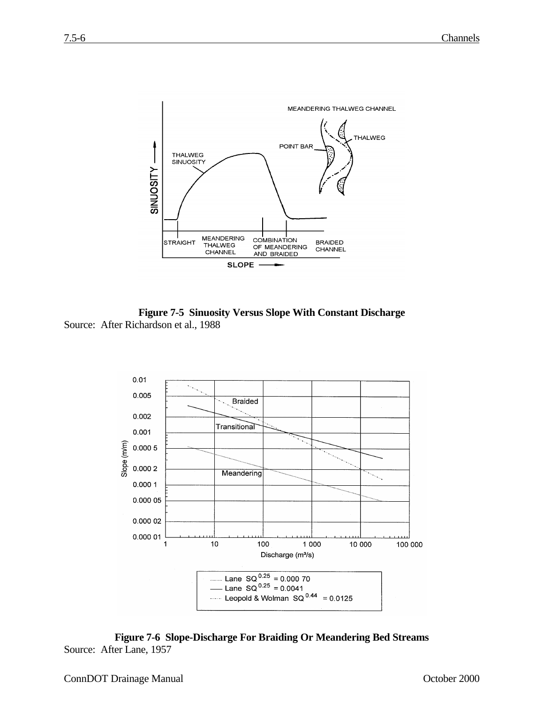

**Figure 7-5 Sinuosity Versus Slope With Constant Discharge** Source: After Richardson et al., 1988



**Figure 7-6 Slope-Discharge For Braiding Or Meandering Bed Streams** Source: After Lane, 1957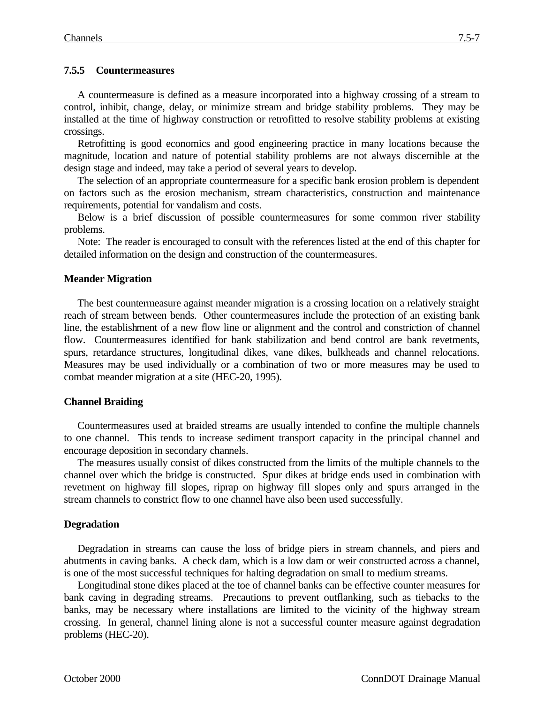## **7.5.5 Countermeasures**

A countermeasure is defined as a measure incorporated into a highway crossing of a stream to control, inhibit, change, delay, or minimize stream and bridge stability problems. They may be installed at the time of highway construction or retrofitted to resolve stability problems at existing crossings.

Retrofitting is good economics and good engineering practice in many locations because the magnitude, location and nature of potential stability problems are not always discernible at the design stage and indeed, may take a period of several years to develop.

The selection of an appropriate countermeasure for a specific bank erosion problem is dependent on factors such as the erosion mechanism, stream characteristics, construction and maintenance requirements, potential for vandalism and costs.

Below is a brief discussion of possible countermeasures for some common river stability problems.

Note: The reader is encouraged to consult with the references listed at the end of this chapter for detailed information on the design and construction of the countermeasures.

### **Meander Migration**

The best countermeasure against meander migration is a crossing location on a relatively straight reach of stream between bends. Other countermeasures include the protection of an existing bank line, the establishment of a new flow line or alignment and the control and constriction of channel flow. Countermeasures identified for bank stabilization and bend control are bank revetments, spurs, retardance structures, longitudinal dikes, vane dikes, bulkheads and channel relocations. Measures may be used individually or a combination of two or more measures may be used to combat meander migration at a site (HEC-20, 1995).

### **Channel Braiding**

Countermeasures used at braided streams are usually intended to confine the multiple channels to one channel. This tends to increase sediment transport capacity in the principal channel and encourage deposition in secondary channels.

The measures usually consist of dikes constructed from the limits of the multiple channels to the channel over which the bridge is constructed. Spur dikes at bridge ends used in combination with revetment on highway fill slopes, riprap on highway fill slopes only and spurs arranged in the stream channels to constrict flow to one channel have also been used successfully.

# **Degradation**

Degradation in streams can cause the loss of bridge piers in stream channels, and piers and abutments in caving banks. A check dam, which is a low dam or weir constructed across a channel, is one of the most successful techniques for halting degradation on small to medium streams.

Longitudinal stone dikes placed at the toe of channel banks can be effective counter measures for bank caving in degrading streams. Precautions to prevent outflanking, such as tiebacks to the banks, may be necessary where installations are limited to the vicinity of the highway stream crossing. In general, channel lining alone is not a successful counter measure against degradation problems (HEC-20).